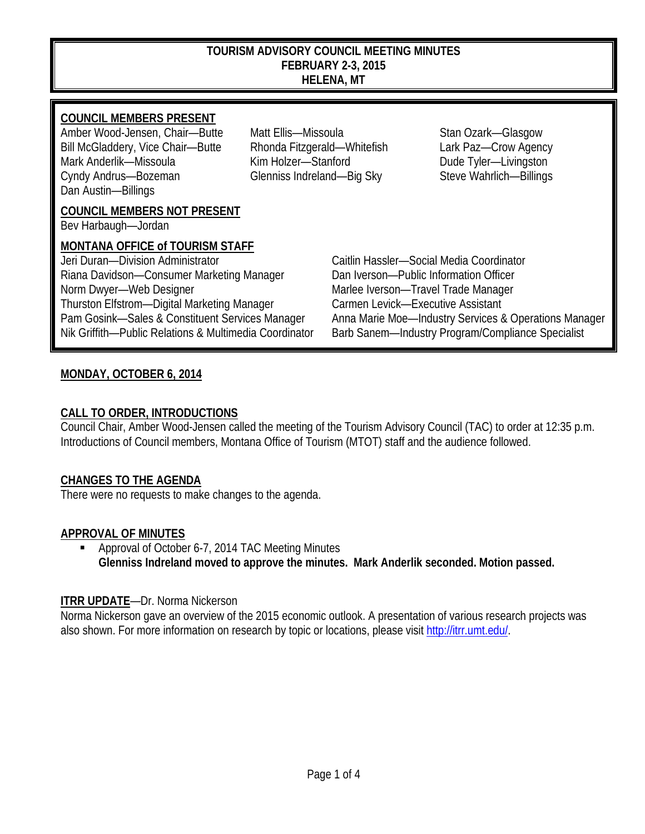#### **TOURISM ADVISORY COUNCIL MEETING MINUTES FEBRUARY 2-3, 2015 HELENA, MT**

### **COUNCIL MEMBERS PRESENT**

Amber Wood-Jensen, Chair—Butte Matt Ellis—Missoula Stan Ozark—Glasgow Bill McGladdery, Vice Chair—Butte Rhonda Fitzgerald—Whitefish Lark Paz—Crow Agency Mark Anderlik—Missoula Kim Holzer—Stanford Dude Tyler—Livingston Cyndy Andrus—Bozeman Glenniss Indreland—Big Sky Steve Wahrlich—Billings Dan Austin—Billings

### **COUNCIL MEMBERS NOT PRESENT**

Bev Harbaugh—Jordan

#### **MONTANA OFFICE of TOURISM STAFF**

Jeri Duran—Division Administrator Caitlin Hassler—Social Media Coordinator Riana Davidson—Consumer Marketing Manager Dan Iverson—Public Information Officer Norm Dwyer—Web Designer Marlee Iverson—Travel Trade Manager Thurston Elfstrom—Digital Marketing Manager Carmen Levick—Executive Assistant Nik Griffith—Public Relations & Multimedia Coordinator Barb Sanem—Industry Program/Compliance Specialist

Pam Gosink—Sales & Constituent Services Manager Anna Marie Moe—Industry Services & Operations Manager

# **MONDAY, OCTOBER 6, 2014**

# **CALL TO ORDER, INTRODUCTIONS**

Council Chair, Amber Wood-Jensen called the meeting of the Tourism Advisory Council (TAC) to order at 12:35 p.m. Introductions of Council members, Montana Office of Tourism (MTOT) staff and the audience followed.

## **CHANGES TO THE AGENDA**

There were no requests to make changes to the agenda.

## **APPROVAL OF MINUTES**

 Approval of October 6-7, 2014 TAC Meeting Minutes **Glenniss Indreland moved to approve the minutes. Mark Anderlik seconded. Motion passed.**

## **ITRR UPDATE**—Dr. Norma Nickerson

Norma Nickerson gave an overview of the 2015 economic outlook. A presentation of various research projects was also shown. For more information on research by topic or locations, please visit [http://itrr.umt.edu/.](http://itrr.umt.edu/)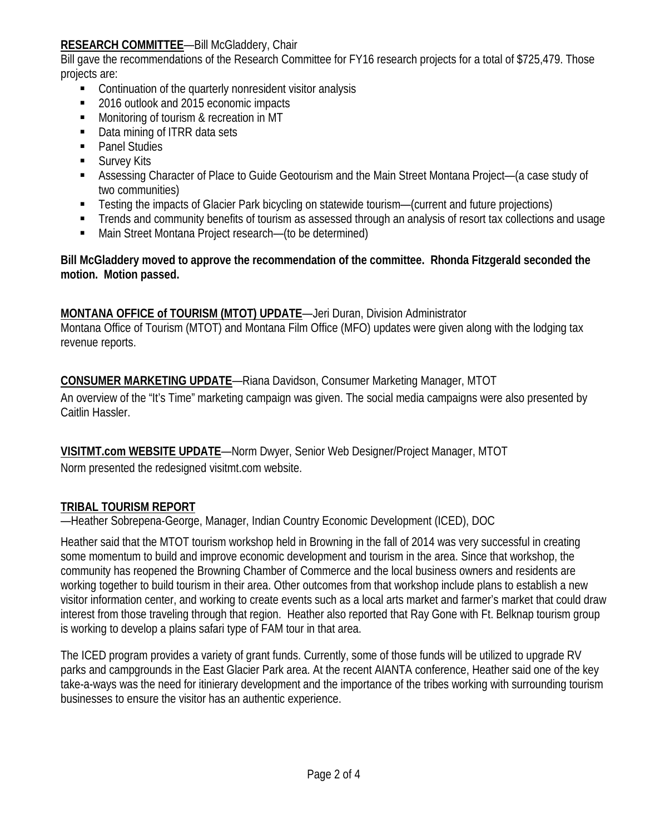## **RESEARCH COMMITTEE**—Bill McGladdery, Chair

Bill gave the recommendations of the Research Committee for FY16 research projects for a total of \$725,479. Those projects are:

- Continuation of the quarterly nonresident visitor analysis
- 2016 outlook and 2015 economic impacts
- **Monitoring of tourism & recreation in MT**
- Data mining of ITRR data sets
- Panel Studies
- **Survey Kits**
- Assessing Character of Place to Guide Geotourism and the Main Street Montana Project—(a case study of two communities)
- Testing the impacts of Glacier Park bicycling on statewide tourism—(current and future projections)
- **Trends and community benefits of tourism as assessed through an analysis of resort tax collections and usage**
- Main Street Montana Project research—(to be determined)

**Bill McGladdery moved to approve the recommendation of the committee. Rhonda Fitzgerald seconded the motion. Motion passed.**

## **MONTANA OFFICE of TOURISM (MTOT) UPDATE**—Jeri Duran, Division Administrator

Montana Office of Tourism (MTOT) and Montana Film Office (MFO) updates were given along with the lodging tax revenue reports.

**CONSUMER MARKETING UPDATE**—Riana Davidson, Consumer Marketing Manager, MTOT

An overview of the "It's Time" marketing campaign was given. The social media campaigns were also presented by Caitlin Hassler.

**VISITMT.com WEBSITE UPDATE**—Norm Dwyer, Senior Web Designer/Project Manager, MTOT Norm presented the redesigned visitmt.com website.

## **TRIBAL TOURISM REPORT**

—Heather Sobrepena-George, Manager, Indian Country Economic Development (ICED), DOC

Heather said that the MTOT tourism workshop held in Browning in the fall of 2014 was very successful in creating some momentum to build and improve economic development and tourism in the area. Since that workshop, the community has reopened the Browning Chamber of Commerce and the local business owners and residents are working together to build tourism in their area. Other outcomes from that workshop include plans to establish a new visitor information center, and working to create events such as a local arts market and farmer's market that could draw interest from those traveling through that region. Heather also reported that Ray Gone with Ft. Belknap tourism group is working to develop a plains safari type of FAM tour in that area.

The ICED program provides a variety of grant funds. Currently, some of those funds will be utilized to upgrade RV parks and campgrounds in the East Glacier Park area. At the recent AIANTA conference, Heather said one of the key take-a-ways was the need for itinierary development and the importance of the tribes working with surrounding tourism businesses to ensure the visitor has an authentic experience.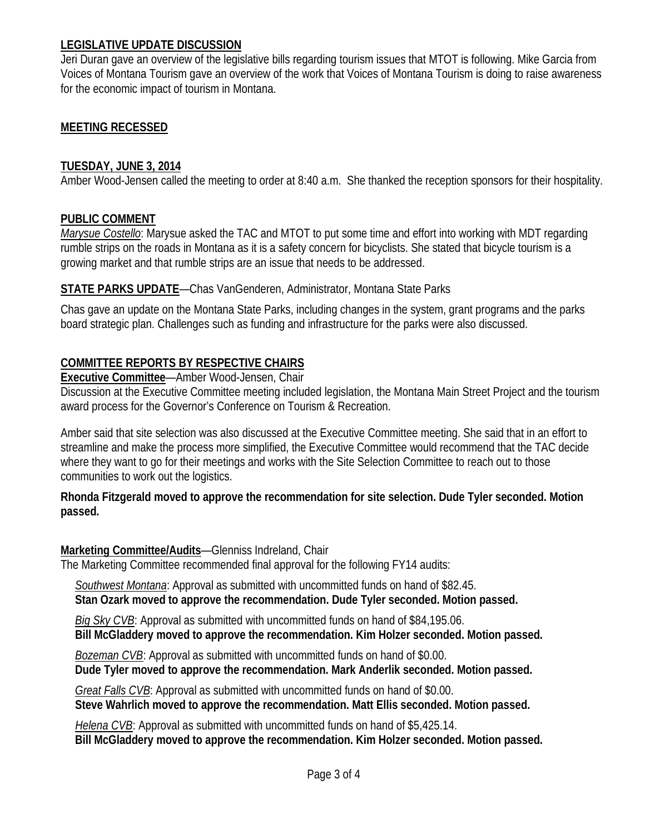### **LEGISLATIVE UPDATE DISCUSSION**

Jeri Duran gave an overview of the legislative bills regarding tourism issues that MTOT is following. Mike Garcia from Voices of Montana Tourism gave an overview of the work that Voices of Montana Tourism is doing to raise awareness for the economic impact of tourism in Montana.

### **MEETING RECESSED**

#### **TUESDAY, JUNE 3, 2014**

Amber Wood-Jensen called the meeting to order at 8:40 a.m. She thanked the reception sponsors for their hospitality.

#### **PUBLIC COMMENT**

*Marysue Costello*: Marysue asked the TAC and MTOT to put some time and effort into working with MDT regarding rumble strips on the roads in Montana as it is a safety concern for bicyclists. She stated that bicycle tourism is a growing market and that rumble strips are an issue that needs to be addressed.

### **STATE PARKS UPDATE**—Chas VanGenderen, Administrator, Montana State Parks

Chas gave an update on the Montana State Parks, including changes in the system, grant programs and the parks board strategic plan. Challenges such as funding and infrastructure for the parks were also discussed.

### **COMMITTEE REPORTS BY RESPECTIVE CHAIRS**

**Executive Committee**—Amber Wood-Jensen, Chair

Discussion at the Executive Committee meeting included legislation, the Montana Main Street Project and the tourism award process for the Governor's Conference on Tourism & Recreation.

Amber said that site selection was also discussed at the Executive Committee meeting. She said that in an effort to streamline and make the process more simplified, the Executive Committee would recommend that the TAC decide where they want to go for their meetings and works with the Site Selection Committee to reach out to those communities to work out the logistics.

**Rhonda Fitzgerald moved to approve the recommendation for site selection. Dude Tyler seconded. Motion passed.**

#### **Marketing Committee/Audits**—Glenniss Indreland, Chair

The Marketing Committee recommended final approval for the following FY14 audits:

 *Southwest Montana*: Approval as submitted with uncommitted funds on hand of \$82.45.

 **Stan Ozark moved to approve the recommendation. Dude Tyler seconded. Motion passed.**

 *Big Sky CVB*: Approval as submitted with uncommitted funds on hand of \$84,195.06.  **Bill McGladdery moved to approve the recommendation. Kim Holzer seconded. Motion passed.**

 *Bozeman CVB*: Approval as submitted with uncommitted funds on hand of \$0.00.  **Dude Tyler moved to approve the recommendation. Mark Anderlik seconded. Motion passed.**

 *Great Falls CVB*: Approval as submitted with uncommitted funds on hand of \$0.00.  **Steve Wahrlich moved to approve the recommendation. Matt Ellis seconded. Motion passed.**

 *Helena CVB*: Approval as submitted with uncommitted funds on hand of \$5,425.14.  **Bill McGladdery moved to approve the recommendation. Kim Holzer seconded. Motion passed.**